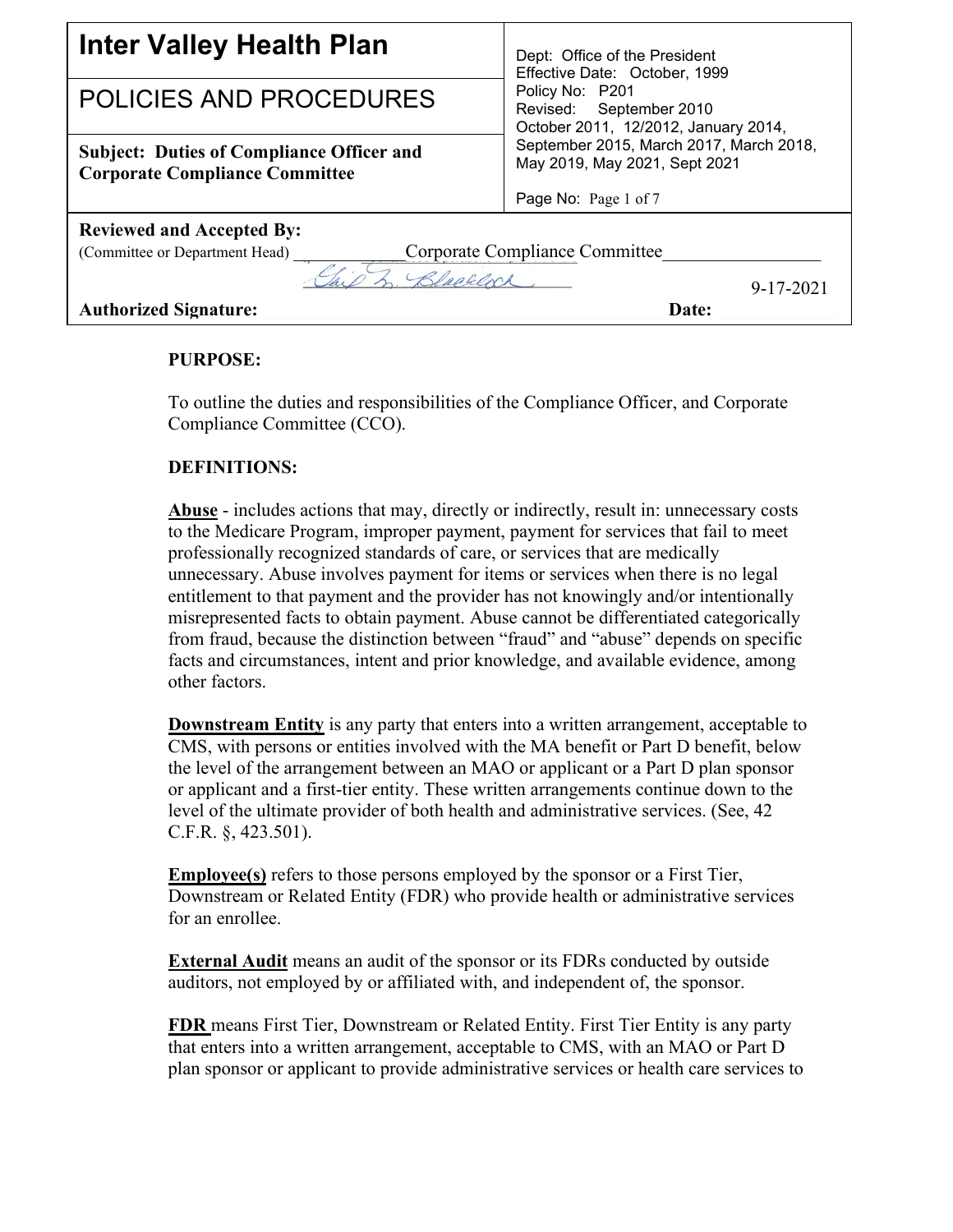| <b>Inter Valley Health Plan</b>                                                           | Dept: Office of the President<br>Effective Date: October, 1999<br>Policy No: P201<br>Revised: September 2010<br>October 2011, 12/2012, January 2014, |
|-------------------------------------------------------------------------------------------|------------------------------------------------------------------------------------------------------------------------------------------------------|
| <b>POLICIES AND PROCEDURES</b>                                                            |                                                                                                                                                      |
| <b>Subject: Duties of Compliance Officer and</b><br><b>Corporate Compliance Committee</b> | September 2015, March 2017, March 2018,<br>May 2019, May 2021, Sept 2021                                                                             |
|                                                                                           | Page No: Page 1 of 7                                                                                                                                 |
| <b>Reviewed and Accepted By:</b>                                                          |                                                                                                                                                      |
| (Committee or Department Head)                                                            | Corporate Compliance Committee                                                                                                                       |
| $9 - 17 - 2021$                                                                           |                                                                                                                                                      |
| <b>Authorized Signature:</b>                                                              | Date:                                                                                                                                                |

## **PURPOSE:**

To outline the duties and responsibilities of the Compliance Officer, and Corporate Compliance Committee (CCO).

## **DEFINITIONS:**

**Abuse** - includes actions that may, directly or indirectly, result in: unnecessary costs to the Medicare Program, improper payment, payment for services that fail to meet professionally recognized standards of care, or services that are medically unnecessary. Abuse involves payment for items or services when there is no legal entitlement to that payment and the provider has not knowingly and/or intentionally misrepresented facts to obtain payment. Abuse cannot be differentiated categorically from fraud, because the distinction between "fraud" and "abuse" depends on specific facts and circumstances, intent and prior knowledge, and available evidence, among other factors.

**Downstream Entity** is any party that enters into a written arrangement, acceptable to CMS, with persons or entities involved with the MA benefit or Part D benefit, below the level of the arrangement between an MAO or applicant or a Part D plan sponsor or applicant and a first-tier entity. These written arrangements continue down to the level of the ultimate provider of both health and administrative services. (See, 42 C.F.R. §, 423.501).

**Employee(s)** refers to those persons employed by the sponsor or a First Tier, Downstream or Related Entity (FDR) who provide health or administrative services for an enrollee.

**External Audit** means an audit of the sponsor or its FDRs conducted by outside auditors, not employed by or affiliated with, and independent of, the sponsor.

**FDR** means First Tier, Downstream or Related Entity. First Tier Entity is any party that enters into a written arrangement, acceptable to CMS, with an MAO or Part D plan sponsor or applicant to provide administrative services or health care services to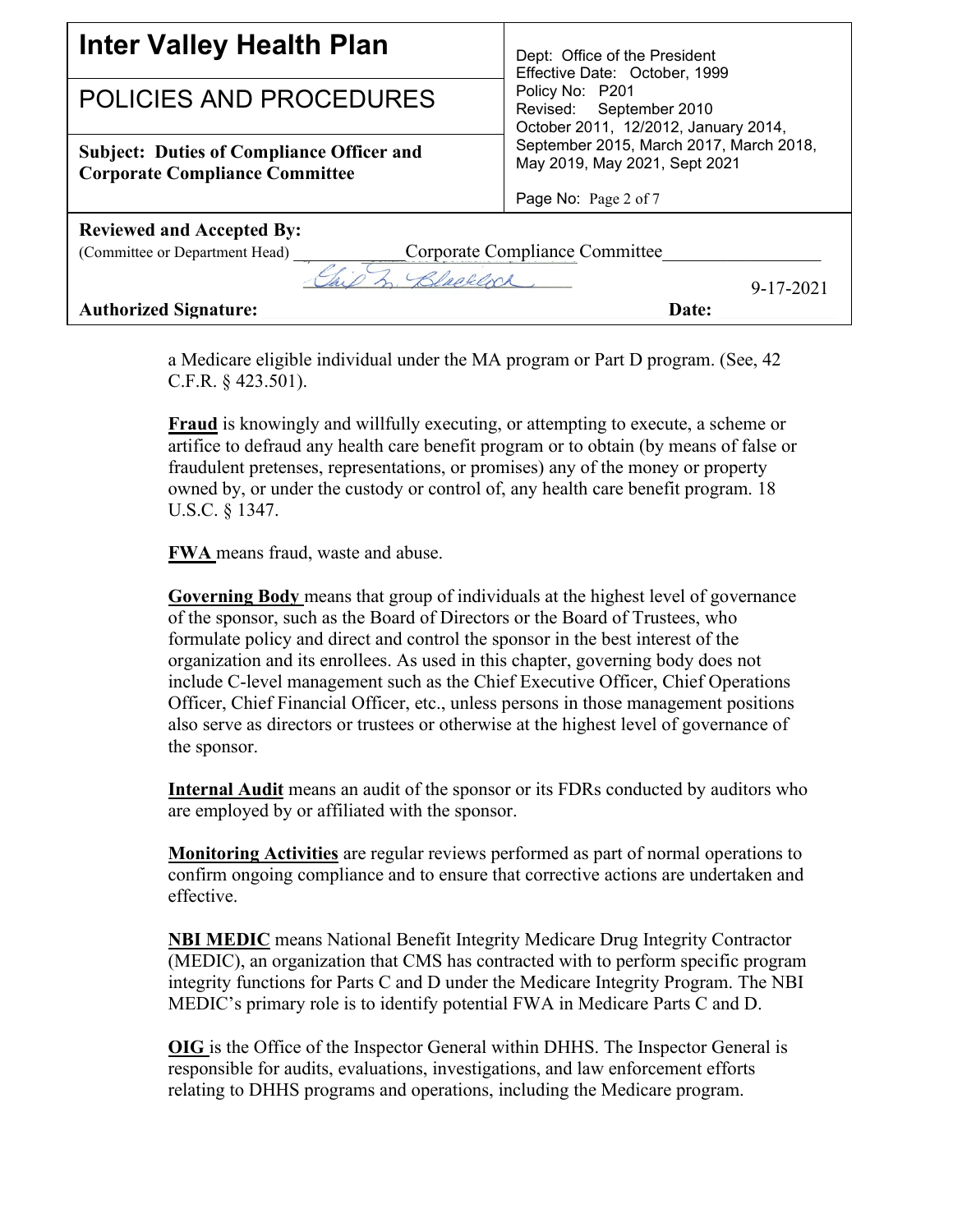| <b>Inter Valley Health Plan</b>                                                           | Dept: Office of the President<br>Effective Date: October, 1999<br>Policy No: P201<br>Revised: September 2010<br>October 2011, 12/2012, January 2014, |  |
|-------------------------------------------------------------------------------------------|------------------------------------------------------------------------------------------------------------------------------------------------------|--|
| POLICIES AND PROCEDURES                                                                   |                                                                                                                                                      |  |
| <b>Subject: Duties of Compliance Officer and</b><br><b>Corporate Compliance Committee</b> | September 2015, March 2017, March 2018,<br>May 2019, May 2021, Sept 2021                                                                             |  |
|                                                                                           | Page No: Page 2 of 7                                                                                                                                 |  |
| <b>Reviewed and Accepted By:</b>                                                          |                                                                                                                                                      |  |
| (Committee or Department Head) _                                                          | Corporate Compliance Committee                                                                                                                       |  |
| $9 - 17 - 2021$                                                                           |                                                                                                                                                      |  |
| <b>Authorized Signature:</b>                                                              | Date:                                                                                                                                                |  |

a Medicare eligible individual under the MA program or Part D program. (See, 42 C.F.R. § 423.501).

**Fraud** is knowingly and willfully executing, or attempting to execute, a scheme or artifice to defraud any health care benefit program or to obtain (by means of false or fraudulent pretenses, representations, or promises) any of the money or property owned by, or under the custody or control of, any health care benefit program. 18 U.S.C. § 1347.

**FWA** means fraud, waste and abuse.

**Governing Body** means that group of individuals at the highest level of governance of the sponsor, such as the Board of Directors or the Board of Trustees, who formulate policy and direct and control the sponsor in the best interest of the organization and its enrollees. As used in this chapter, governing body does not include C-level management such as the Chief Executive Officer, Chief Operations Officer, Chief Financial Officer, etc., unless persons in those management positions also serve as directors or trustees or otherwise at the highest level of governance of the sponsor.

**Internal Audit** means an audit of the sponsor or its FDRs conducted by auditors who are employed by or affiliated with the sponsor.

**Monitoring Activities** are regular reviews performed as part of normal operations to confirm ongoing compliance and to ensure that corrective actions are undertaken and effective.

**NBI MEDIC** means National Benefit Integrity Medicare Drug Integrity Contractor (MEDIC), an organization that CMS has contracted with to perform specific program integrity functions for Parts C and D under the Medicare Integrity Program. The NBI MEDIC's primary role is to identify potential FWA in Medicare Parts C and D.

**OIG** is the Office of the Inspector General within DHHS. The Inspector General is responsible for audits, evaluations, investigations, and law enforcement efforts relating to DHHS programs and operations, including the Medicare program.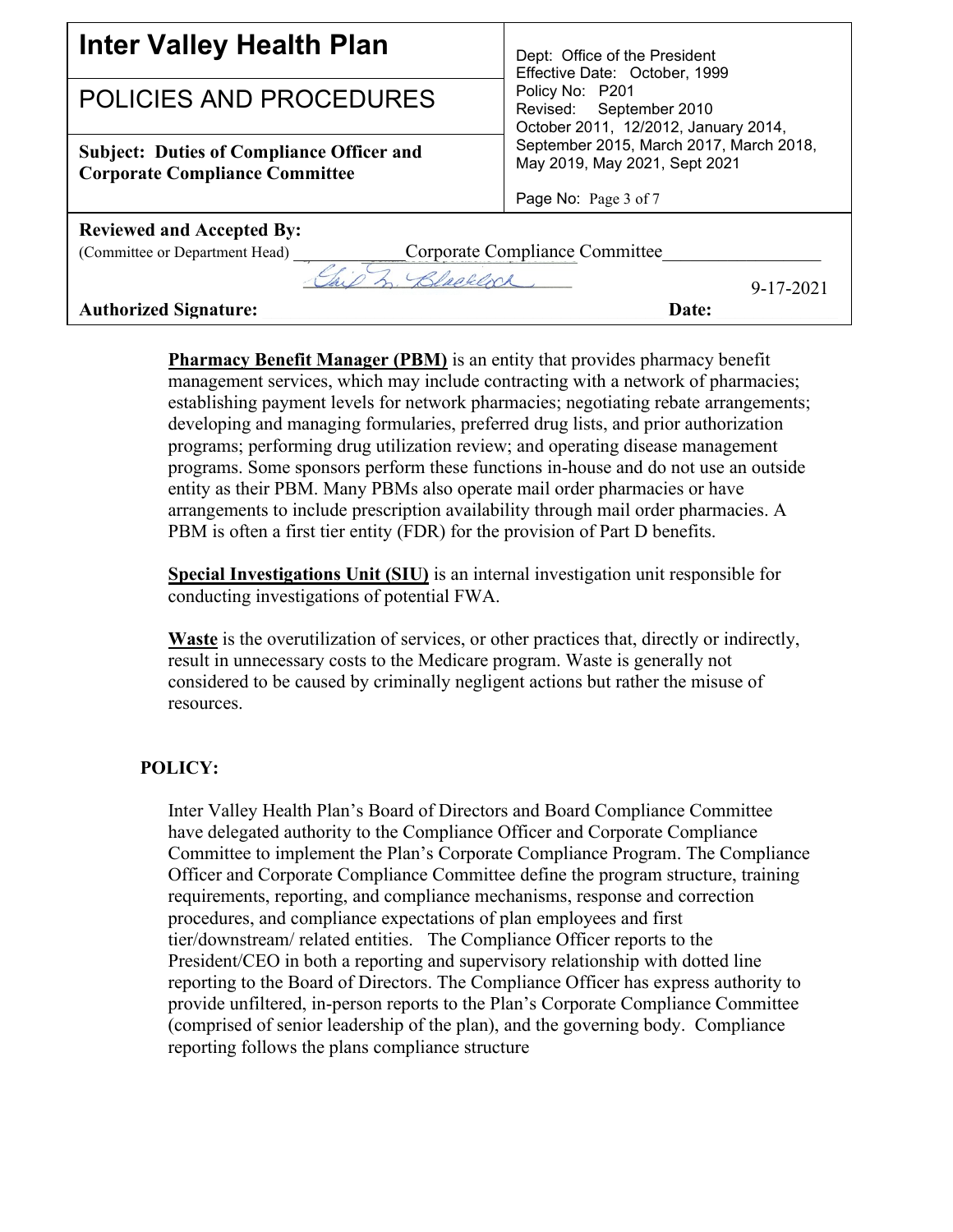| <b>Inter Valley Health Plan</b>                                                           | Dept: Office of the President<br>Effective Date: October, 1999<br>Policy No: P201<br>Revised: September 2010<br>October 2011, 12/2012, January 2014, |  |
|-------------------------------------------------------------------------------------------|------------------------------------------------------------------------------------------------------------------------------------------------------|--|
| POLICIES AND PROCEDURES                                                                   |                                                                                                                                                      |  |
| <b>Subject: Duties of Compliance Officer and</b><br><b>Corporate Compliance Committee</b> | September 2015, March 2017, March 2018,<br>May 2019, May 2021, Sept 2021                                                                             |  |
|                                                                                           | Page No: Page 3 of 7                                                                                                                                 |  |
| <b>Reviewed and Accepted By:</b>                                                          |                                                                                                                                                      |  |
| (Committee or Department Head) _                                                          | Corporate Compliance Committee                                                                                                                       |  |
| $9 - 17 - 2021$                                                                           |                                                                                                                                                      |  |
| <b>Authorized Signature:</b>                                                              | Date:                                                                                                                                                |  |

**Pharmacy Benefit Manager (PBM)** is an entity that provides pharmacy benefit management services, which may include contracting with a network of pharmacies; establishing payment levels for network pharmacies; negotiating rebate arrangements; developing and managing formularies, preferred drug lists, and prior authorization programs; performing drug utilization review; and operating disease management programs. Some sponsors perform these functions in-house and do not use an outside entity as their PBM. Many PBMs also operate mail order pharmacies or have arrangements to include prescription availability through mail order pharmacies. A PBM is often a first tier entity (FDR) for the provision of Part D benefits.

**Special Investigations Unit (SIU)** is an internal investigation unit responsible for conducting investigations of potential FWA.

**Waste** is the overutilization of services, or other practices that, directly or indirectly, result in unnecessary costs to the Medicare program. Waste is generally not considered to be caused by criminally negligent actions but rather the misuse of resources.

## **POLICY:**

Inter Valley Health Plan's Board of Directors and Board Compliance Committee have delegated authority to the Compliance Officer and Corporate Compliance Committee to implement the Plan's Corporate Compliance Program. The Compliance Officer and Corporate Compliance Committee define the program structure, training requirements, reporting, and compliance mechanisms, response and correction procedures, and compliance expectations of plan employees and first tier/downstream/ related entities. The Compliance Officer reports to the President/CEO in both a reporting and supervisory relationship with dotted line reporting to the Board of Directors. The Compliance Officer has express authority to provide unfiltered, in-person reports to the Plan's Corporate Compliance Committee (comprised of senior leadership of the plan), and the governing body. Compliance reporting follows the plans compliance structure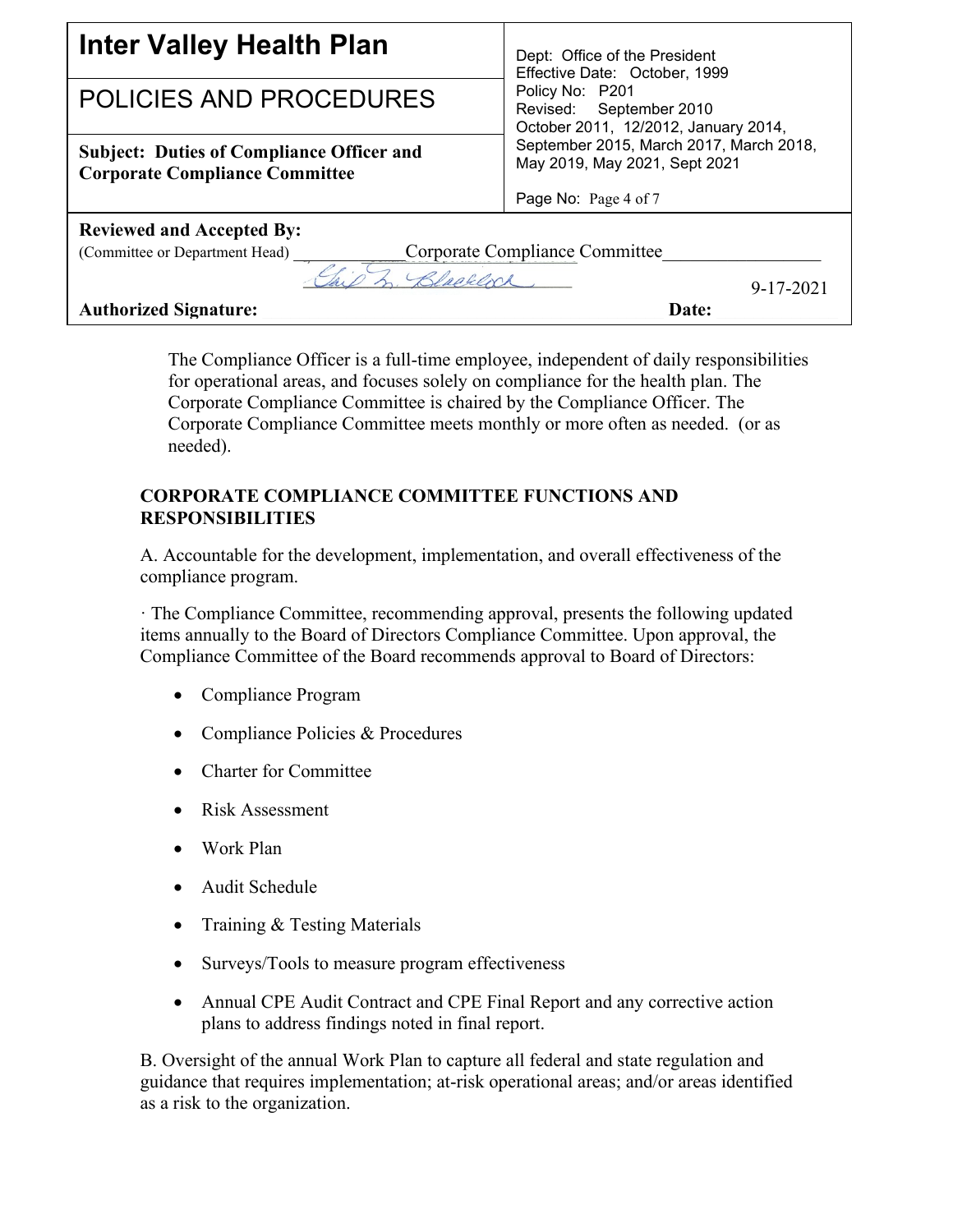| <b>Inter Valley Health Plan</b>                                                           | Dept: Office of the President<br>Effective Date: October, 1999<br>Policy No: P201<br>Revised: September 2010<br>October 2011, 12/2012, January 2014, |
|-------------------------------------------------------------------------------------------|------------------------------------------------------------------------------------------------------------------------------------------------------|
| POLICIES AND PROCEDURES                                                                   |                                                                                                                                                      |
| <b>Subject: Duties of Compliance Officer and</b><br><b>Corporate Compliance Committee</b> | September 2015, March 2017, March 2018,<br>May 2019, May 2021, Sept 2021                                                                             |
|                                                                                           | Page No: Page 4 of 7                                                                                                                                 |
| <b>Reviewed and Accepted By:</b>                                                          |                                                                                                                                                      |
| (Committee or Department Head)                                                            | Corporate Compliance Committee                                                                                                                       |
| $9 - 17 - 2021$                                                                           |                                                                                                                                                      |
| <b>Authorized Signature:</b>                                                              | Date:                                                                                                                                                |

The Compliance Officer is a full-time employee, independent of daily responsibilities for operational areas, and focuses solely on compliance for the health plan. The Corporate Compliance Committee is chaired by the Compliance Officer. The Corporate Compliance Committee meets monthly or more often as needed. (or as needed).

## **CORPORATE COMPLIANCE COMMITTEE FUNCTIONS AND RESPONSIBILITIES**

A. Accountable for the development, implementation, and overall effectiveness of the compliance program.

· The Compliance Committee, recommending approval, presents the following updated items annually to the Board of Directors Compliance Committee. Upon approval, the Compliance Committee of the Board recommends approval to Board of Directors:

- Compliance Program
- Compliance Policies & Procedures
- Charter for Committee
- Risk Assessment
- Work Plan
- Audit Schedule
- Training & Testing Materials
- Surveys/Tools to measure program effectiveness
- Annual CPE Audit Contract and CPE Final Report and any corrective action plans to address findings noted in final report.

B. Oversight of the annual Work Plan to capture all federal and state regulation and guidance that requires implementation; at-risk operational areas; and/or areas identified as a risk to the organization.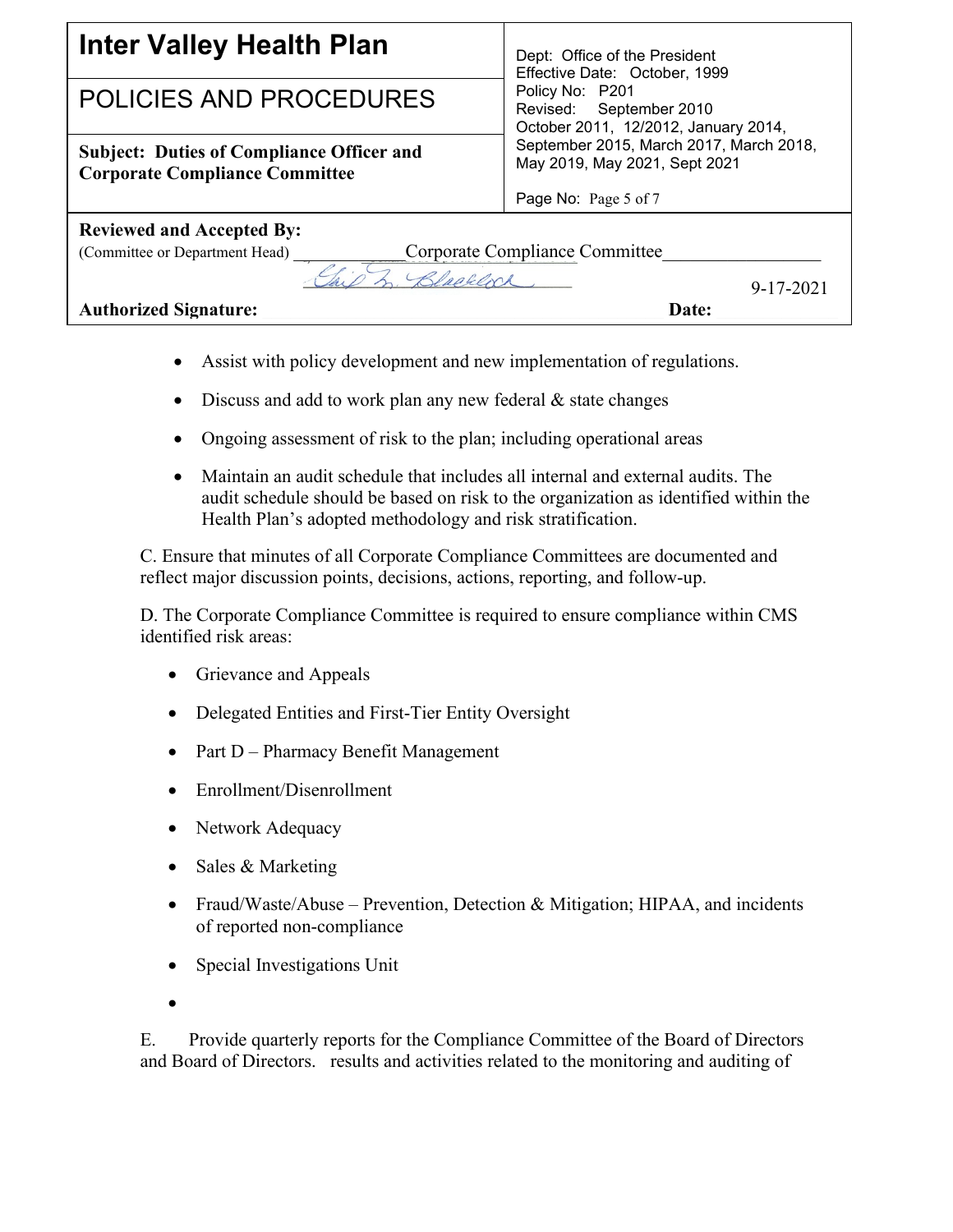| <b>Inter Valley Health Plan</b>                                                           | Dept: Office of the President<br>Effective Date: October, 1999<br>Policy No: P201<br>Revised: September 2010<br>October 2011, 12/2012, January 2014, |
|-------------------------------------------------------------------------------------------|------------------------------------------------------------------------------------------------------------------------------------------------------|
| <b>POLICIES AND PROCEDURES</b>                                                            |                                                                                                                                                      |
| <b>Subject: Duties of Compliance Officer and</b><br><b>Corporate Compliance Committee</b> | September 2015, March 2017, March 2018,<br>May 2019, May 2021, Sept 2021                                                                             |
|                                                                                           | Page No: Page 5 of 7                                                                                                                                 |
| <b>Reviewed and Accepted By:</b>                                                          |                                                                                                                                                      |
| Corporate Compliance Committee<br>(Committee or Department Head) _                        |                                                                                                                                                      |
| $9 - 17 - 2021$                                                                           |                                                                                                                                                      |
| <b>Authorized Signature:</b>                                                              | Date:                                                                                                                                                |

- Assist with policy development and new implementation of regulations.
- Discuss and add to work plan any new federal  $&$  state changes
- Ongoing assessment of risk to the plan; including operational areas
- Maintain an audit schedule that includes all internal and external audits. The audit schedule should be based on risk to the organization as identified within the Health Plan's adopted methodology and risk stratification.

C. Ensure that minutes of all Corporate Compliance Committees are documented and reflect major discussion points, decisions, actions, reporting, and follow-up.

D. The Corporate Compliance Committee is required to ensure compliance within CMS identified risk areas:

- Grievance and Appeals
- Delegated Entities and First-Tier Entity Oversight
- Part D Pharmacy Benefit Management
- Enrollment/Disenrollment
- Network Adequacy
- Sales & Marketing
- Fraud/Waste/Abuse Prevention, Detection & Mitigation; HIPAA, and incidents of reported non-compliance
- Special Investigations Unit
- •

E. Provide quarterly reports for the Compliance Committee of the Board of Directors and Board of Directors. results and activities related to the monitoring and auditing of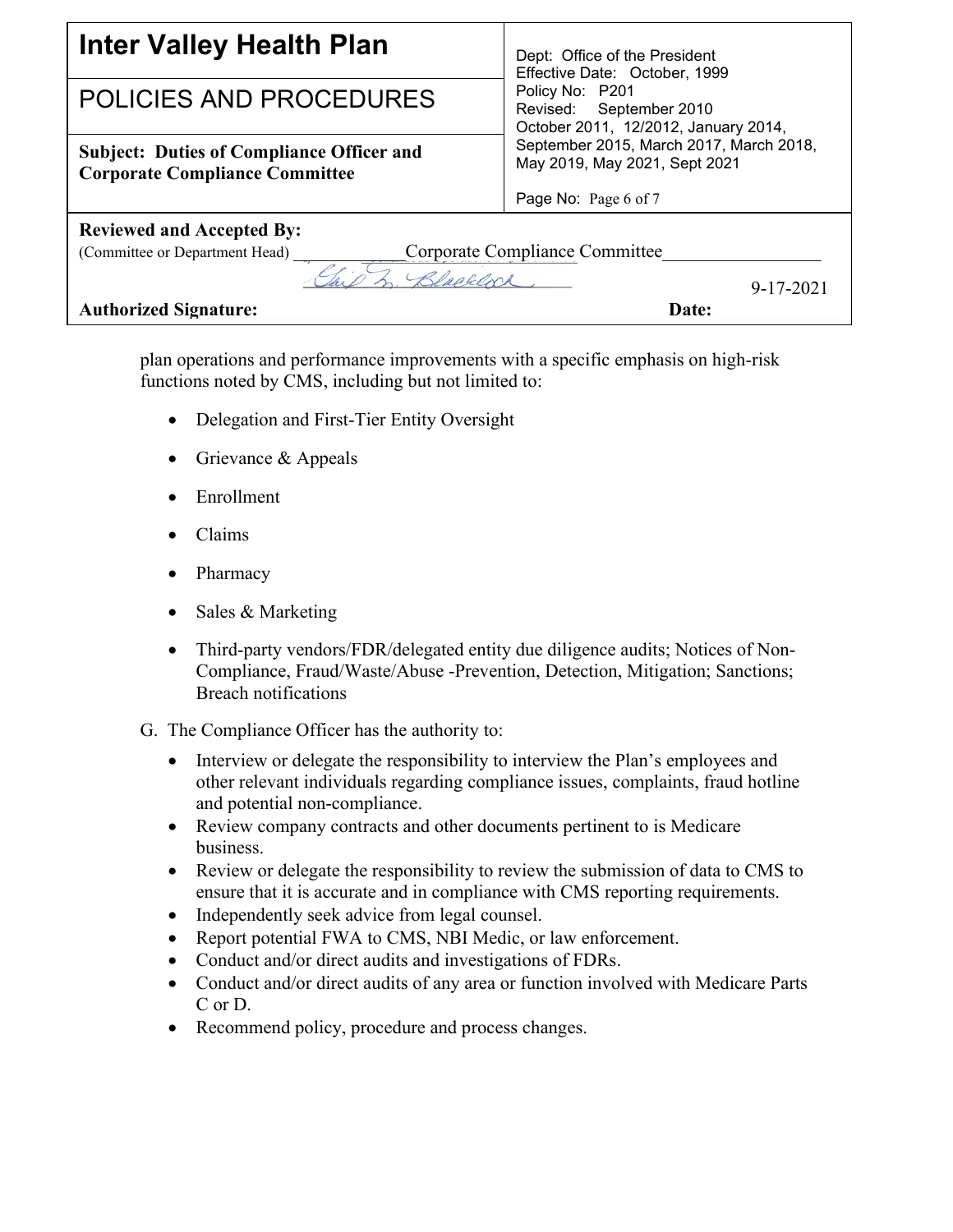| <b>Inter Valley Health Plan</b>                                                           | Dept: Office of the President<br>Effective Date: October, 1999<br>Policy No: P201<br>Revised: September 2010<br>October 2011, 12/2012, January 2014, |
|-------------------------------------------------------------------------------------------|------------------------------------------------------------------------------------------------------------------------------------------------------|
| <b>POLICIES AND PROCEDURES</b>                                                            |                                                                                                                                                      |
| <b>Subject: Duties of Compliance Officer and</b><br><b>Corporate Compliance Committee</b> | September 2015, March 2017, March 2018,<br>May 2019, May 2021, Sept 2021                                                                             |
|                                                                                           | Page No: Page 6 of 7                                                                                                                                 |
| <b>Reviewed and Accepted By:</b>                                                          |                                                                                                                                                      |
| (Committee or Department Head)                                                            | Corporate Compliance Committee                                                                                                                       |
| $9 - 17 - 2021$                                                                           |                                                                                                                                                      |
| <b>Authorized Signature:</b>                                                              | Date:                                                                                                                                                |

plan operations and performance improvements with a specific emphasis on high-risk functions noted by CMS, including but not limited to:

- Delegation and First-Tier Entity Oversight
- Grievance & Appeals
- Enrollment
- Claims
- Pharmacy
- Sales & Marketing
- Third-party vendors/FDR/delegated entity due diligence audits; Notices of Non-Compliance, Fraud/Waste/Abuse -Prevention, Detection, Mitigation; Sanctions; Breach notifications
- G. The Compliance Officer has the authority to:
	- Interview or delegate the responsibility to interview the Plan's employees and other relevant individuals regarding compliance issues, complaints, fraud hotline and potential non-compliance.
	- Review company contracts and other documents pertinent to is Medicare business.
	- Review or delegate the responsibility to review the submission of data to CMS to ensure that it is accurate and in compliance with CMS reporting requirements.
	- Independently seek advice from legal counsel.
	- Report potential FWA to CMS, NBI Medic, or law enforcement.
	- Conduct and/or direct audits and investigations of FDRs.
	- Conduct and/or direct audits of any area or function involved with Medicare Parts C or D.
	- Recommend policy, procedure and process changes.